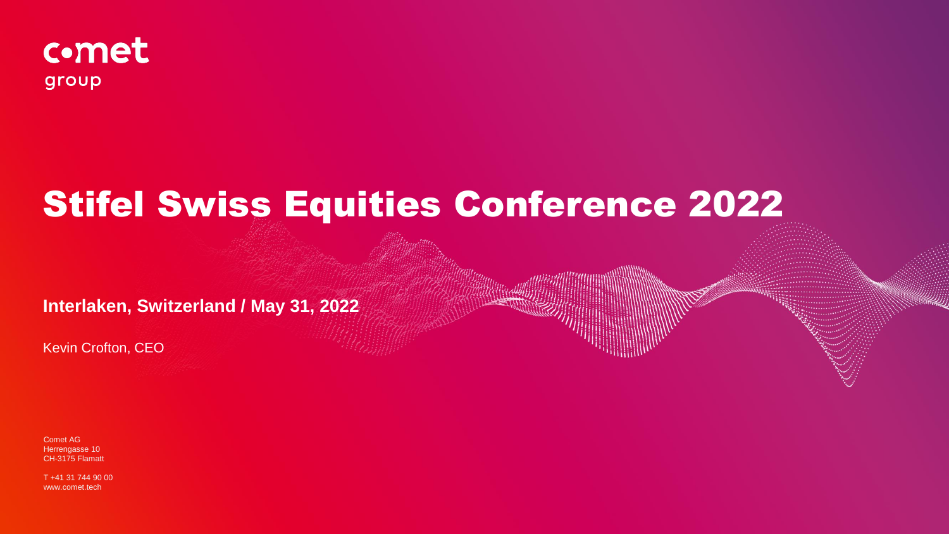

# Stifel Swiss Equities Conference 2022

**Interlaken, Switzerland / May 31, 2022**

Kevin Crofton, CEO

Comet AG Herrengasse 10 CH-3175 Flamatt

T +41 31 744 90 00 www.comet.tech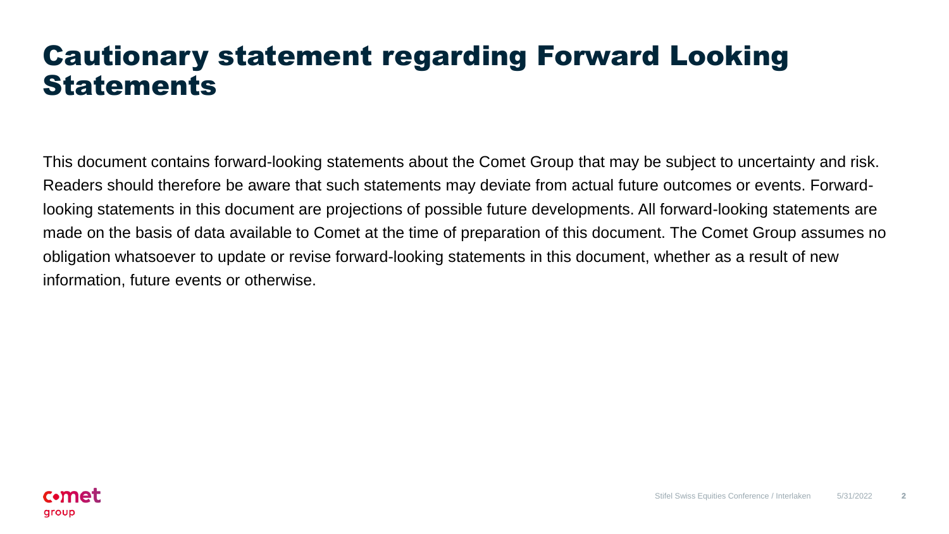#### Cautionary statement regarding Forward Looking Statements

This document contains forward-looking statements about the Comet Group that may be subject to uncertainty and risk. Readers should therefore be aware that such statements may deviate from actual future outcomes or events. Forwardlooking statements in this document are projections of possible future developments. All forward-looking statements are made on the basis of data available to Comet at the time of preparation of this document. The Comet Group assumes no obligation whatsoever to update or revise forward-looking statements in this document, whether as a result of new information, future events or otherwise.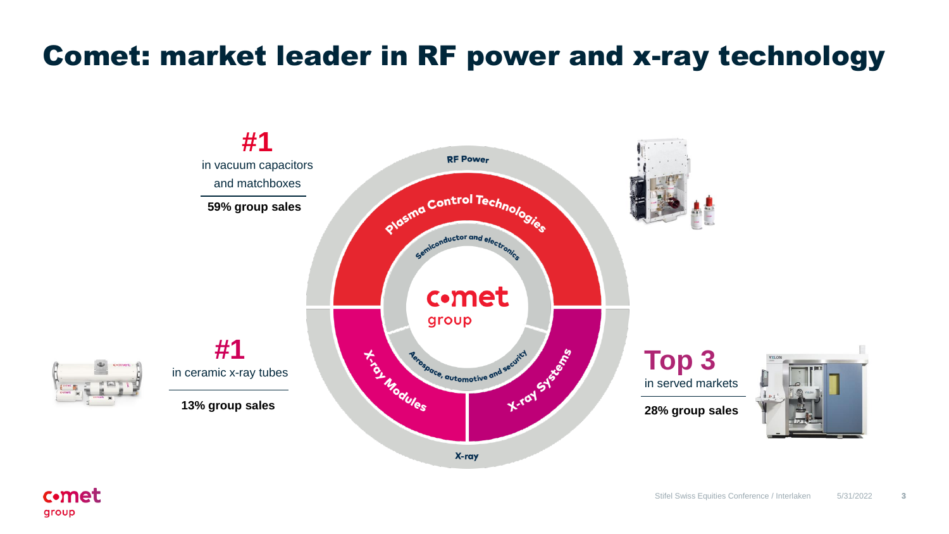### Comet: market leader in RF power and x-ray technology



**c**•met group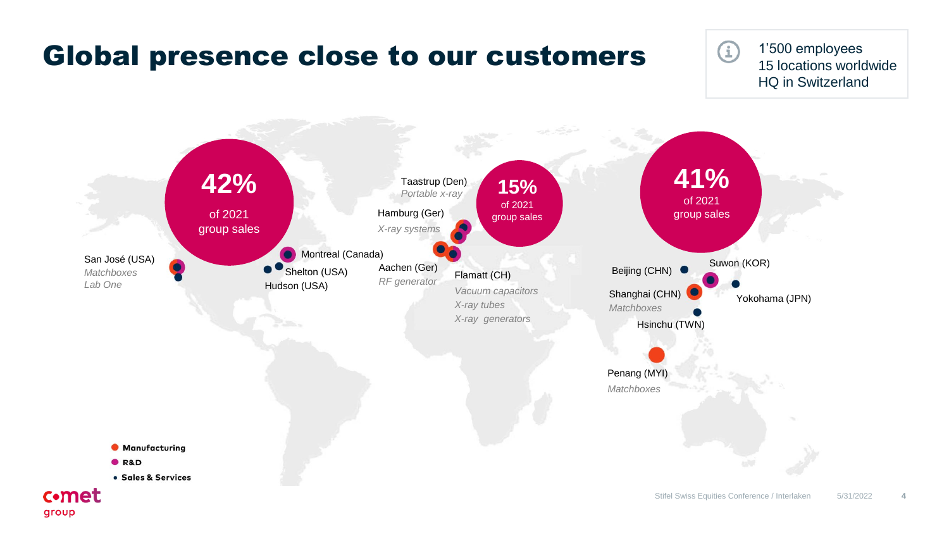#### Global presence close to our customers

**E** 

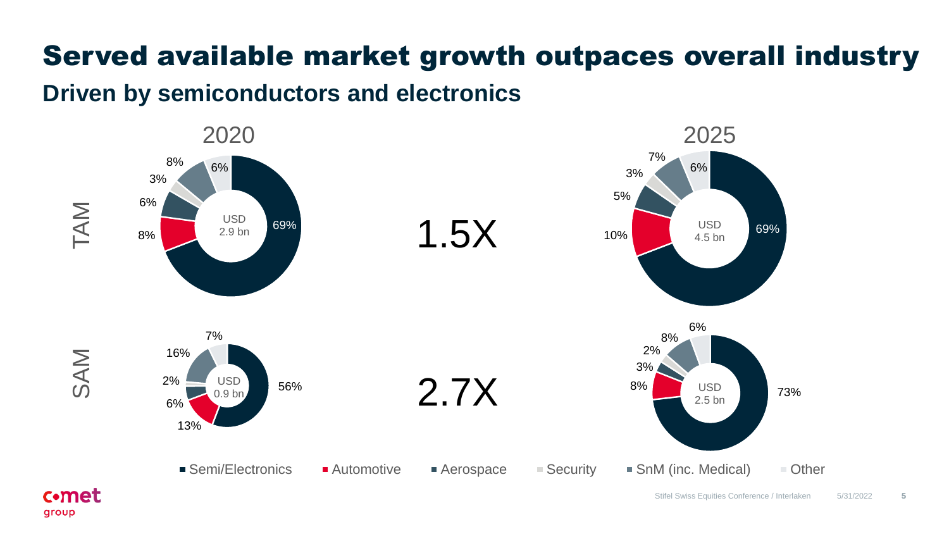### Served available market growth outpaces overall industry

**Driven by semiconductors and electronics**



**c**•met group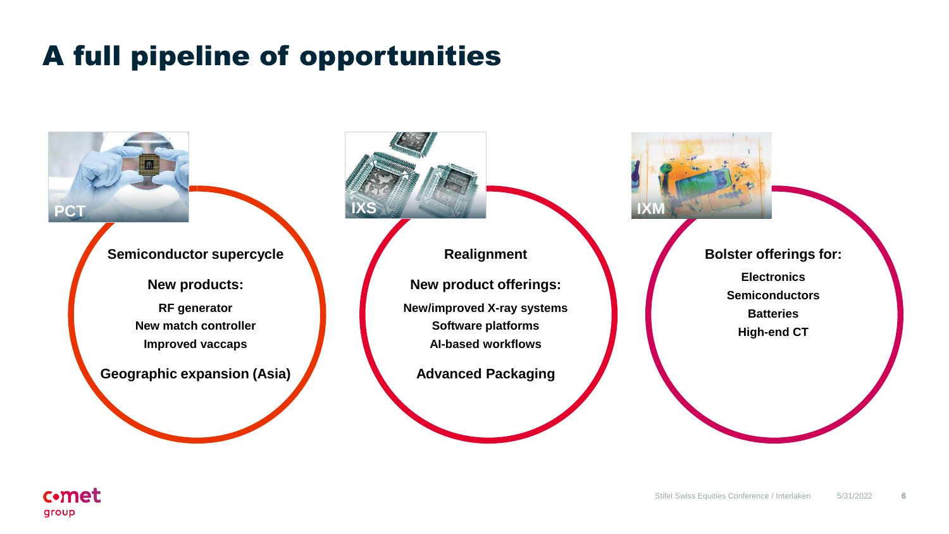### A full pipeline of opportunities

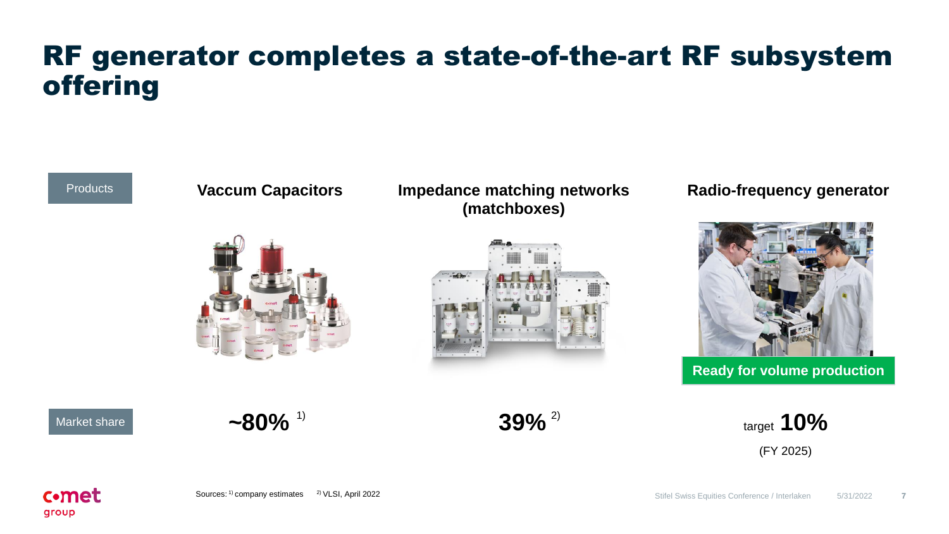#### RF generator completes a state-of-the-art RF subsystem offering

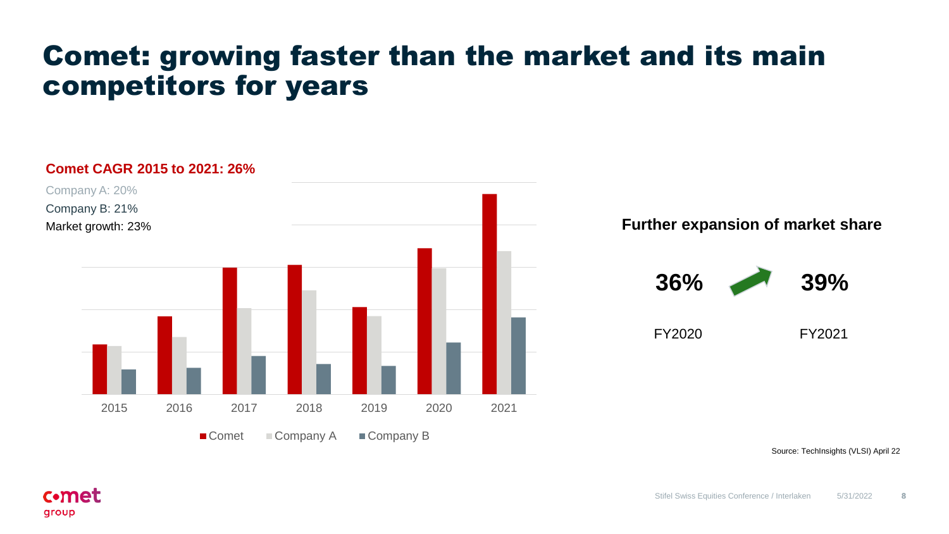#### Comet: growing faster than the market and its main competitors for years



Source: TechInsights (VLSI) April 22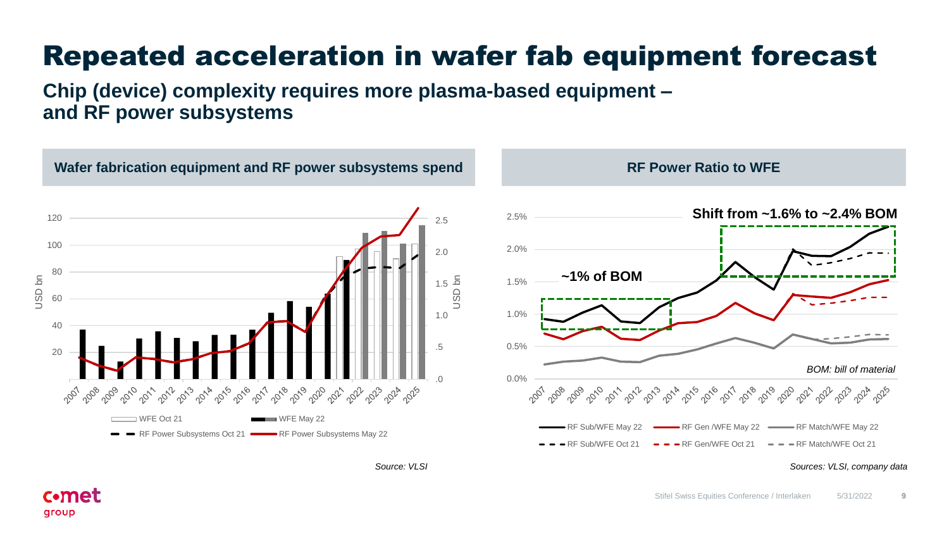# Repeated acceleration in wafer fab equipment forecast

**Chip (device) complexity requires more plasma-based equipment – and RF power subsystems**

**c**•met

group

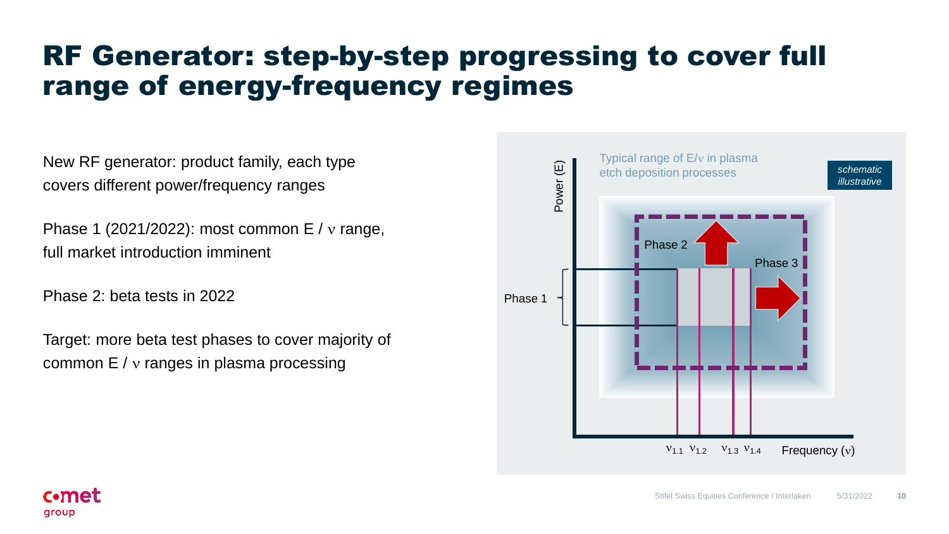### RF Generator: step-by-step progressing to cover full range of energy-frequency regimes

New RF generator: product family, each type covers different power/frequency ranges

Phase 1 (2021/2022): most common  $E / v$  range, full market introduction imminent

Phase 2: beta tests in 2022

Target: more beta test phases to cover majority of common  $E / v$  ranges in plasma processing

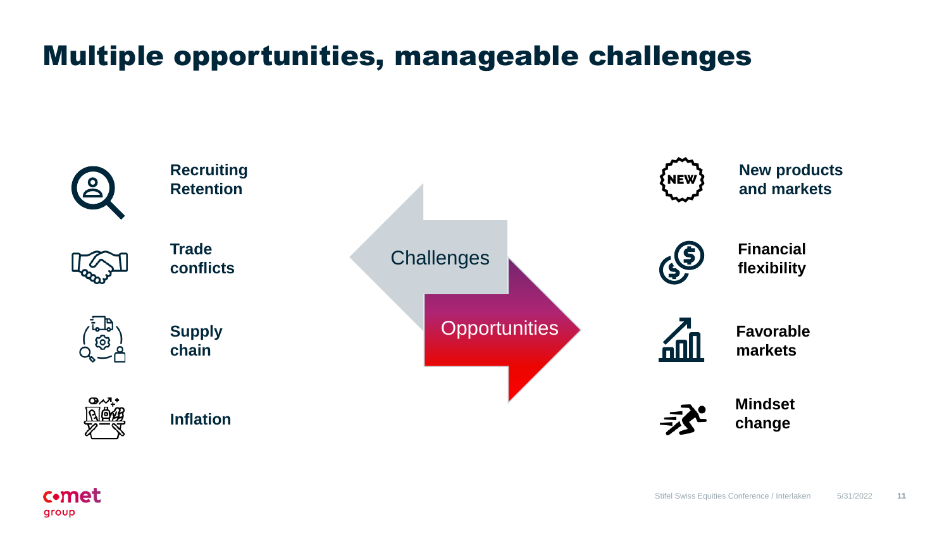### Multiple opportunities, manageable challenges



c•met

group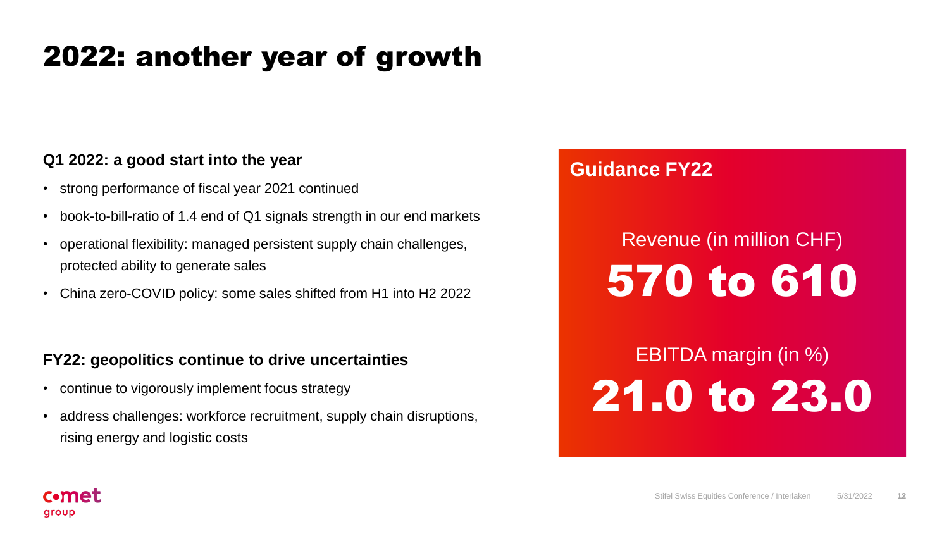## 2022: another year of growth

#### **Q1 2022: a good start into the year**

- strong performance of fiscal year 2021 continued
- book-to-bill-ratio of 1.4 end of Q1 signals strength in our end markets
- operational flexibility: managed persistent supply chain challenges, protected ability to generate sales
- China zero-COVID policy: some sales shifted from H1 into H2 2022

#### **FY22: geopolitics continue to drive uncertainties**

- continue to vigorously implement focus strategy
- address challenges: workforce recruitment, supply chain disruptions, rising energy and logistic costs

#### **Guidance FY22**

# Revenue (in million CHF) 570 to 610

EBITDA margin (in %) 21.0 to 23.0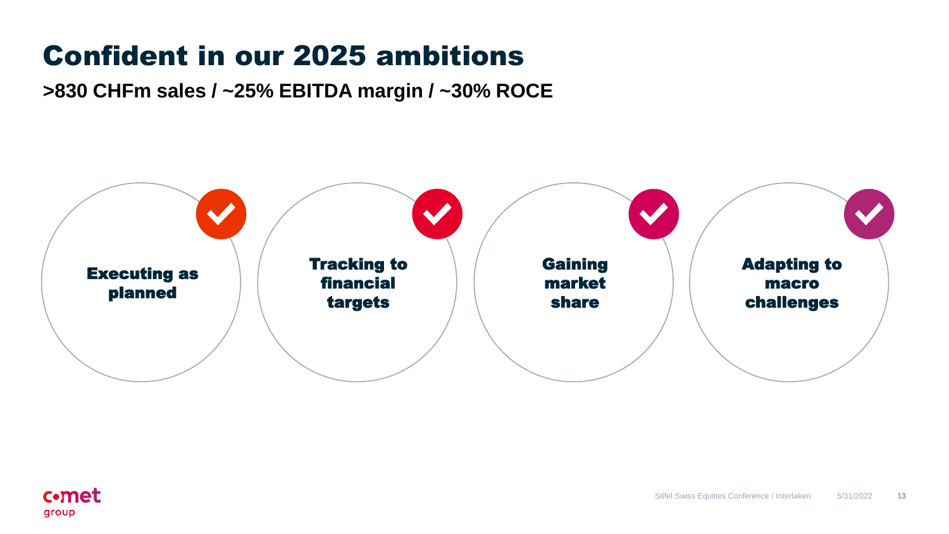# Confident in our 2025 ambitions

**>830 CHFm sales / ~25% EBITDA margin / ~30% ROCE**